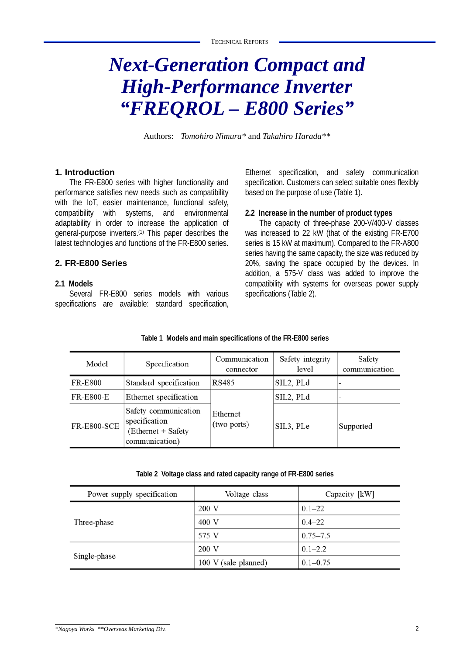# *Next-Generation Compact and High-Performance Inverter "FREQROL – E800 Series"*

Authors: *Tomohiro Nimura\** and *Takahiro Harada\*\**

#### **1. Introduction**

The FR-E800 series with higher functionality and performance satisfies new needs such as compatibility with the IoT, easier maintenance, functional safety, compatibility with systems, and environmental adaptability in order to increase the application of general-purpose inverters.(1) This paper describes the latest technologies and functions of the FR-E800 series.

## **2. FR-E800 Series**

#### **2.1 Models**

Several FR-E800 series models with various specifications are available: standard specification,

Ethernet specification, and safety communication specification. Customers can select suitable ones flexibly based on the purpose of use (Table 1).

#### **2.2 Increase in the number of product types**

The capacity of three-phase 200-V/400-V classes was increased to 22 kW (that of the existing FR-E700 series is 15 kW at maximum). Compared to the FR-A800 series having the same capacity, the size was reduced by 20%, saving the space occupied by the devices. In addition, a 575-V class was added to improve the compatibility with systems for overseas power supply specifications (Table 2).

| Model              | Specification                                                                 | Communication<br>Safety integrity<br>connector |           | Safety<br>communication |
|--------------------|-------------------------------------------------------------------------------|------------------------------------------------|-----------|-------------------------|
| <b>FR-E800</b>     | Standard specification                                                        | RS485                                          | SIL2, PLd |                         |
| <b>FR-E800-E</b>   | Ethernet specification                                                        |                                                | SIL2, PLd |                         |
| <b>FR-E800-SCE</b> | Safety communication<br>specification<br>(Ethernet + Safety<br>communication) | Ethernet<br>(two ports)                        | SIL3, PLe | Supported               |

**Table 1 Models and main specifications of the FR-E800 series**

**Table 2 Voltage class and rated capacity range of FR-E800 series**

| Power supply specification | Voltage class        | Capacity [kW] |
|----------------------------|----------------------|---------------|
|                            | 200 V                | $0.1 - 22$    |
| Three-phase                | 400 V                | $0.4 - 22$    |
|                            | 575 V                | $0.75 - 7.5$  |
|                            | 200 V                | $0.1 - 2.2$   |
| Single-phase               | 100 V (sale planned) | $0.1 - 0.75$  |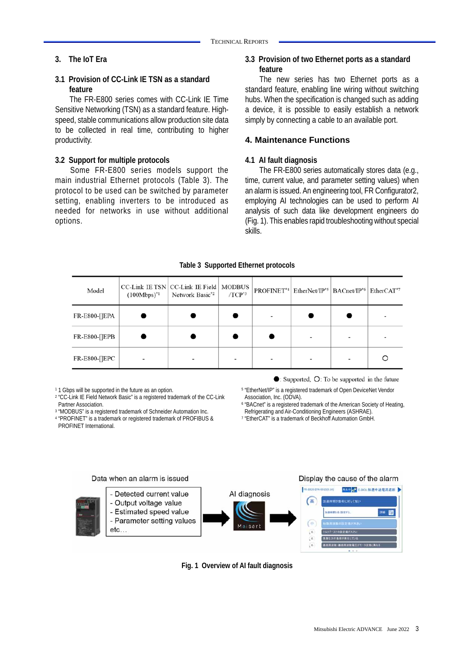## **3. The IoT Era**

#### **3.1 Provision of CC-Link IE TSN as a standard feature**

The FR-E800 series comes with CC-Link IE Time Sensitive Networking (TSN) as a standard feature. Highspeed, stable communications allow production site data to be collected in real time, contributing to higher productivity.

### **3.2 Support for multiple protocols**

Some FR-E800 series models support the main industrial Ethernet protocols (Table 3). The protocol to be used can be switched by parameter setting, enabling inverters to be introduced as needed for networks in use without additional options.

## **3.3 Provision of two Ethernet ports as a standard feature**

The new series has two Ethernet ports as a standard feature, enabling line wiring without switching hubs. When the specification is changed such as adding a device, it is possible to easily establish a network simply by connecting a cable to an available port.

### **4. Maintenance Functions**

#### **4.1 AI fault diagnosis**

The FR-E800 series automatically stores data (e.g., time, current value, and parameter setting values) when an alarm is issued. An engineering tool, FR Configurator2, employing AI technologies can be used to perform AI analysis of such data like development engineers do (Fig. 1). This enables rapid troubleshooting without special skills.

| Model         | $(100Mbps)^{*1}$ | CC-Link IE TSN CC-Link IE Field   MODBUS<br>Network Basic*2 | $/TCP^{*3}$ | $PROFINET^{*4}$ EtherNet/IP <sup>*5</sup>   BACnet/IP <sup>*6</sup>   EtherCAT <sup>*7</sup> |   |
|---------------|------------------|-------------------------------------------------------------|-------------|----------------------------------------------------------------------------------------------|---|
| FR-E800-[]EPA |                  |                                                             |             |                                                                                              |   |
| FR-E800-[]EPB |                  |                                                             |             |                                                                                              |   |
| FR-E800-[]EPC |                  |                                                             |             |                                                                                              | C |

**Table 3 Supported Ethernet protocols**

- 11 Gbps will be supported in the future as an option.<br>2 "CC-Link IE Field Network Basic" is a registered trademark of the CC-Link
- Partner Association.<br>
<sup>3</sup> "MODBUS" is a registered trademark of Schneider Automation Inc.
- <sup>4</sup> "PROFINET" is a trademark or registered trademark of PROFIBUS & PROFINET International.

 $\bullet$ : Supported,  $\circ$ : To be supported in the future

- 5 "EtherNet/IP" is a registered trademark of Open DeviceNet Vendor Association, Inc. (ODVA).
- <sup>6</sup> "BACnet" is a registered trademark of the American Society of Heating,<br>Refrigerating and Air-Conditioning Engineers (ASHRAE).
- <sup>7</sup> "EtherCAT" is a trademark of Beckhoff Automation GmbH.



**Fig. 1 Overview of AI fault diagnosis**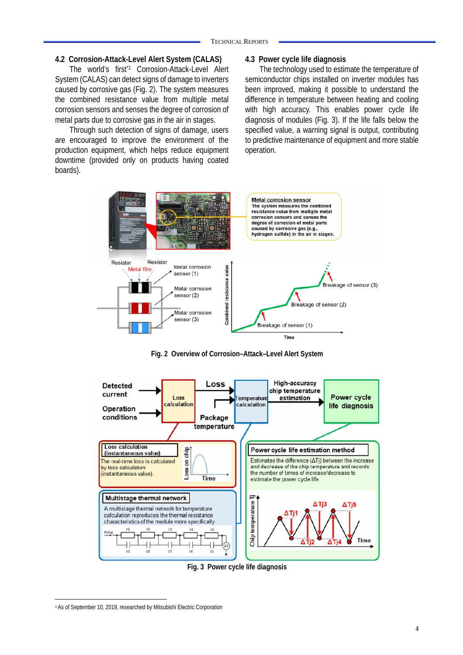#### **4.2 Corrosion-Attack-Level Alert System (CALAS)**

The world's first<sup>\*1</sup> Corrosion-Attack-Level Alert System (CALAS) can detect signs of damage to inverters caused by corrosive gas (Fig. 2). The system measures the combined resistance value from multiple metal corrosion sensors and senses the degree of corrosion of metal parts due to corrosive gas in the air in stages.

Through such detection of signs of damage, users are encouraged to improve the environment of the production equipment, which helps reduce equipment downtime (provided only on products having coated boards).

#### **4.3 Power cycle life diagnosis**

The technology used to estimate the temperature of semiconductor chips installed on inverter modules has been improved, making it possible to understand the difference in temperature between heating and cooling with high accuracy. This enables power cycle life diagnosis of modules (Fig. 3). If the life falls below the specified value, a warning signal is output, contributing to predictive maintenance of equipment and more stable operation.



**Fig. 2 Overview of Corrosion–Attack–Level Alert System** 



**Fig. 3 Power cycle life diagnosis** 

<sup>1</sup> As of September 10, 2019, researched by Mitsubishi Electric Corporation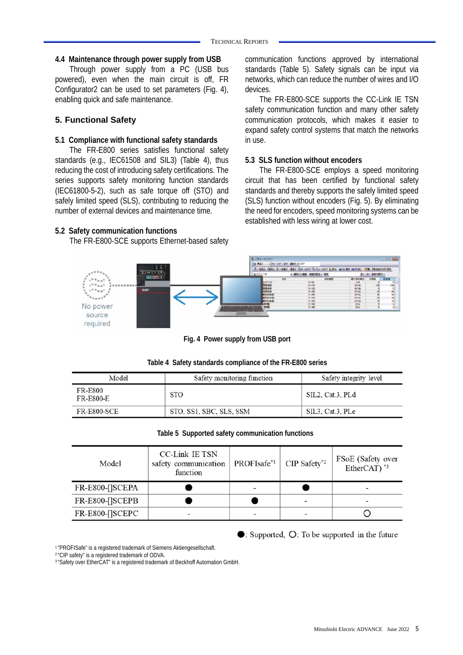#### **4.4 Maintenance through power supply from USB**

Through power supply from a PC (USB bus powered), even when the main circuit is off, FR Configurator2 can be used to set parameters (Fig. 4), enabling quick and safe maintenance.

### **5. Functional Safety**

#### **5.1 Compliance with functional safety standards**

The FR-E800 series satisfies functional safety standards (e.g., IEC61508 and SIL3) (Table 4), thus reducing the cost of introducing safety certifications. The series supports safety monitoring function standards (IEC61800-5-2), such as safe torque off (STO) and safely limited speed (SLS), contributing to reducing the number of external devices and maintenance time.

#### **5.2 Safety communication functions**

The FR-E800-SCE supports Ethernet-based safety

communication functions approved by international standards (Table 5). Safety signals can be input via networks, which can reduce the number of wires and I/O devices.

The FR-E800-SCE supports the CC-Link IE TSN safety communication function and many other safety communication protocols, which makes it easier to expand safety control systems that match the networks in use.

#### **5.3 SLS function without encoders**

The FR-E800-SCE employs a speed monitoring circuit that has been certified by functional safety standards and thereby supports the safely limited speed (SLS) function without encoders (Fig. 5). By eliminating the need for encoders, speed monitoring systems can be established with less wiring at lower cost.



**Fig. 4 Power supply from USB port** 

**Table 4 Safety standards compliance of the FR-E800 series**

| Model                       | Safety monitoring function | Safety integrity level |
|-----------------------------|----------------------------|------------------------|
| FR-E800<br><b>FR-E800-E</b> | <b>STO</b>                 | SIL2, Cat.3, PLd       |
| <b>FR-E800-SCE</b>          | STO, SS1, SBC, SLS, SSM    | SIL3, Cat.3, PLe       |

## **Table 5 Supported safety communication functions**

| Model                  | CC-Link IE TSN<br>safety communication<br>function | PROFIsafe <sup>*1</sup> | $CIP$ Safety <sup>*2</sup> | FSoE (Safety over<br>EtherCAT $)$ <sup>*3</sup> |  |
|------------------------|----------------------------------------------------|-------------------------|----------------------------|-------------------------------------------------|--|
| <b>FR-E800-[]SCEPA</b> |                                                    |                         |                            |                                                 |  |
| <b>FR-E800-[]SCEPB</b> |                                                    |                         |                            |                                                 |  |
| FR-E800-[]SCEPC        |                                                    |                         |                            |                                                 |  |

 $\bullet$ : Supported,  $\circ$ : To be supported in the future

1 "PROFISafe" is a registered trademark of Siemens Aktiengesellschaft.

2 "CIP safety" is a registered trademark of ODVA.

<sup>3</sup> "Safety over EtherCAT" is a registered trademark of Beckhoff Automation GmbH.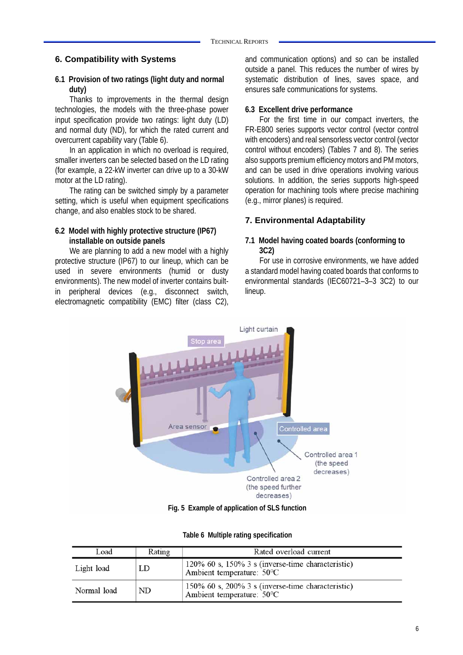#### **6. Compatibility with Systems**

#### **6.1 Provision of two ratings (light duty and normal duty)**

Thanks to improvements in the thermal design technologies, the models with the three-phase power input specification provide two ratings: light duty (LD) and normal duty (ND), for which the rated current and overcurrent capability vary (Table 6).

In an application in which no overload is required, smaller inverters can be selected based on the LD rating (for example, a 22-kW inverter can drive up to a 30-kW motor at the LD rating).

The rating can be switched simply by a parameter setting, which is useful when equipment specifications change, and also enables stock to be shared.

#### **6.2 Model with highly protective structure (IP67) installable on outside panels**

We are planning to add a new model with a highly protective structure (IP67) to our lineup, which can be used in severe environments (humid or dusty environments). The new model of inverter contains builtin peripheral devices (e.g., disconnect switch, electromagnetic compatibility (EMC) filter (class C2),

and communication options) and so can be installed outside a panel. This reduces the number of wires by systematic distribution of lines, saves space, and ensures safe communications for systems.

#### **6.3 Excellent drive performance**

For the first time in our compact inverters, the FR-E800 series supports vector control (vector control with encoders) and real sensorless vector control (vector control without encoders) (Tables 7 and 8). The series also supports premium efficiency motors and PM motors, and can be used in drive operations involving various solutions. In addition, the series supports high-speed operation for machining tools where precise machining (e.g., mirror planes) is required.

## **7. Environmental Adaptability**

#### **7.1 Model having coated boards (conforming to 3C2)**

For use in corrosive environments, we have added a standard model having coated boards that conforms to environmental standards (IEC60721–3–3 3C2) to our lineup.



**Fig. 5 Example of application of SLS function** 

|  |  | Table 6 Multiple rating specification |
|--|--|---------------------------------------|
|--|--|---------------------------------------|

| Load        | Rating | Rated overload current                                                         |
|-------------|--------|--------------------------------------------------------------------------------|
| Light load  | LD     | 120% 60 s, 150% 3 s (inverse-time characteristic)<br>Ambient temperature: 50°C |
| Normal load | ND     | 150% 60 s, 200% 3 s (inverse-time characteristic)<br>Ambient temperature: 50°C |